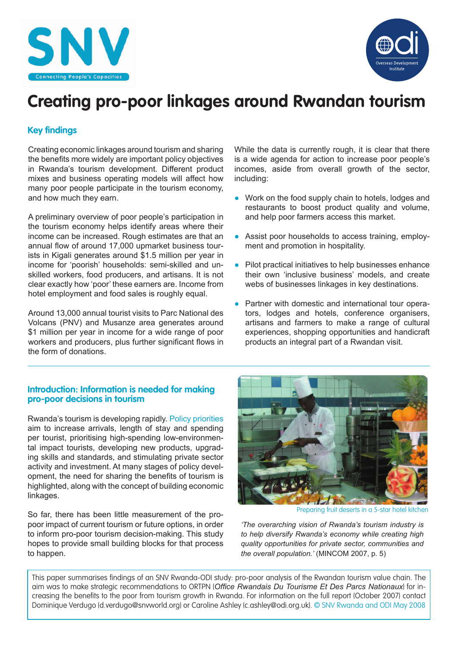



# **Creating pro-poor linkages around Rwandan tourism**

# **Key findings**

Creating economic linkages around tourism and sharing the benefits more widely are important policy objectives in Rwanda's tourism development. Different product mixes and business operating models will affect how many poor people participate in the tourism economy, and how much they earn.

A preliminary overview of poor people's participation in the tourism economy helps identify areas where their income can be increased. Rough estimates are that an annual flow of around 17,000 upmarket business tourists in Kigali generates around \$1.5 million per year in income for 'poorish' households: semi-skilled and unskilled workers, food producers, and artisans. It is not clear exactly how 'poor' these earners are. Income from hotel employment and food sales is roughly equal.

Around 13,000 annual tourist visits to Parc National des Volcans (PNV) and Musanze area generates around \$1 million per year in income for a wide range of poor workers and producers, plus further significant flows in the form of donations.

# While the data is currently rough, it is clear that there is a wide agenda for action to increase poor people's incomes, aside from overall growth of the sector, including:

- Work on the food supply chain to hotels, lodges and restaurants to boost product quality and volume, and help poor farmers access this market.
- Assist poor households to access training, employment and promotion in hospitality.
- Pilot practical initiatives to help businesses enhance their own 'inclusive business' models, and create webs of businesses linkages in key destinations.
- Partner with domestic and international tour operators, lodges and hotels, conference organisers, artisans and farmers to make a range of cultural experiences, shopping opportunities and handicraft products an integral part of a Rwandan visit.

# **Introduction: Information is needed for making pro-poor decisions in tourism**

Rwanda's tourism is developing rapidly. Policy priorities aim to increase arrivals, length of stay and spending per tourist, prioritising high-spending low-environmental impact tourists, developing new products, upgrading skills and standards, and stimulating private sector activity and investment. At many stages of policy development, the need for sharing the benefits of tourism is highlighted, along with the concept of building economic linkages.

So far, there has been little measurement of the propoor impact of current tourism or future options, in order to inform pro-poor tourism decision-making. This study hopes to provide small building blocks for that process to happen.



Preparing fruit deserts in a 5-star hotel kitchen

*'The overarching vision of Rwanda's tourism industry is to help diversify Rwanda's economy while creating high quality opportunities for private sector, communities and the overall population.'* (MINCOM 2007, p. 5)

This paper summarises findings of an SNV Rwanda-ODI study: pro-poor analysis of the Rwandan tourism value chain. The aim was to make strategic recommendations to ORTPN (Office Rwandais Du Tourisme Et Des Parcs Nationaux) for increasing the benefits to the poor from tourism growth in Rwanda. For information on the full report (October 2007) contact Dominique Verdugo (d.verdugo@snvworld.org) or Caroline Ashley (c.ashley@odi.org.uk). © SNV Rwanda and ODI May 2008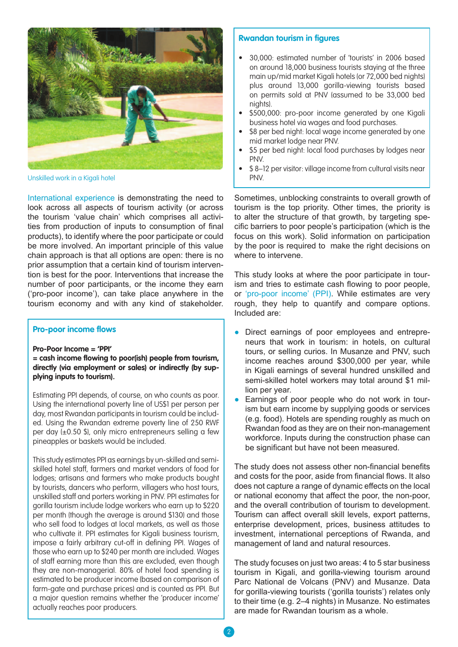

Unskilled work in a Kigali hotel **PNV.** 

International experience is demonstrating the need to look across all aspects of tourism activity (or across the tourism 'value chain' which comprises all activities from production of inputs to consumption of final products), to identify where the poor participate or could be more involved. An important principle of this value chain approach is that all options are open: there is no prior assumption that a certain kind of tourism intervention is best for the poor. Interventions that increase the number of poor participants, or the income they earn ('pro-poor income'), can take place anywhere in the tourism economy and with any kind of stakeholder.

#### **Pro-poor income flows**

**Pro-Poor Income = 'PPI'**

 $=$  cash income flowing to poor(ish) people from tourism, **directly (via employment or sales) or indirectly (by supplying inputs to tourism).** 

Estimating PPI depends, of course, on who counts as poor. Using the international poverty line of US\$1 per person per day, most Rwandan participants in tourism could be included. Using the Rwandan extreme poverty line of 250 RWF per day (±0.50 \$), only micro entrepreneurs selling a few pineapples or baskets would be included.

This study estimates PPI as earnings by un-skilled and semiskilled hotel staff, farmers and market vendors of food for lodges; artisans and farmers who make products bought by tourists, dancers who perform, villagers who host tours, unskilled staff and porters working in PNV. PPI estimates for gorilla tourism include lodge workers who earn up to \$220 per month (though the average is around \$130) and those who sell food to lodges at local markets, as well as those who cultivate it. PPI estimates for Kigali business tourism, impose a fairly arbitrary cut-off in defining PPI. Wages of those who earn up to \$240 per month are included. Wages of staff earning more than this are excluded, even though they are non-managerial. 80% of hotel food spending is estimated to be producer income (based on comparison of farm-gate and purchase prices) and is counted as PPI. But a major question remains whether the 'producer income' actually reaches poor producers.

#### **Rwandan tourism in figures**

- 30,000: estimated number of 'tourists' in 2006 based on around 18,000 business tourists staying at the three main up/mid market Kigali hotels (or 72,000 bed nights) plus around 13,000 gorilla-viewing tourists based on permits sold at PNV (assumed to be 33,000 bed nights).
- \$500,000: pro-poor income generated by one Kigali business hotel via wages and food purchases.
- \$8 per bed night: local wage income generated by one mid market lodge near PNV.
- \$5 per bed night: local food purchases by lodges near PNV.
- \$ 8–12 per visitor: village income from cultural visits near

Sometimes, unblocking constraints to overall growth of tourism is the top priority. Other times, the priority is to alter the structure of that growth, by targeting specific barriers to poor people's participation (which is the focus on this work). Solid information on participation by the poor is required to make the right decisions on where to intervene.

This study looks at where the poor participate in tourism and tries to estimate cash flowing to poor people, or 'pro-poor income' (PPI). While estimates are very rough, they help to quantify and compare options. Included are:

- Direct earnings of poor employees and entrepreneurs that work in tourism: in hotels, on cultural tours, or selling curios. In Musanze and PNV, such income reaches around \$300,000 per year, while in Kigali earnings of several hundred unskilled and semi-skilled hotel workers may total around \$1 million per year.
- Earnings of poor people who do not work in tourism but earn income by supplying goods or services (e.g. food). Hotels are spending roughly as much on Rwandan food as they are on their non-management workforce. Inputs during the construction phase can be significant but have not been measured.

The study does not assess other non-financial benefits and costs for the poor, aside from financial flows. It also does not capture a range of dynamic effects on the local or national economy that affect the poor, the non-poor, and the overall contribution of tourism to development. Tourism can affect overall skill levels, export patterns, enterprise development, prices, business attitudes to investment, international perceptions of Rwanda, and management of land and natural resources.

The study focuses on just two areas: 4 to 5 star business tourism in Kigali, and gorilla-viewing tourism around Parc National de Volcans (PNV) and Musanze. Data for gorilla-viewing tourists ('gorilla tourists') relates only to their time (e.g. 2–4 nights) in Musanze. No estimates are made for Rwandan tourism as a whole.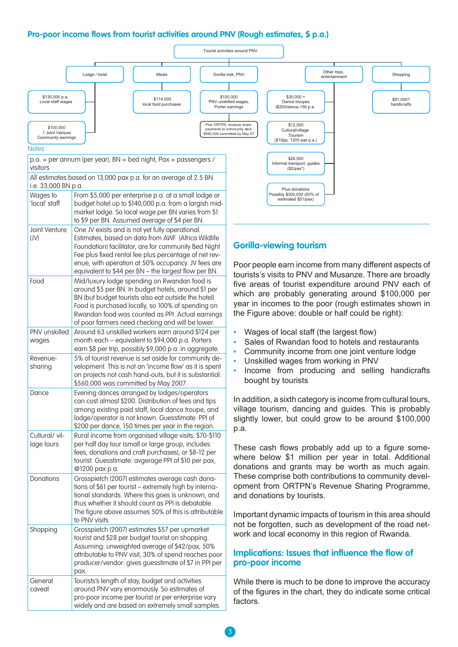# **Pro-poor income flows from tourist activities around PNV (Rough estimates, \$ p.a.)**

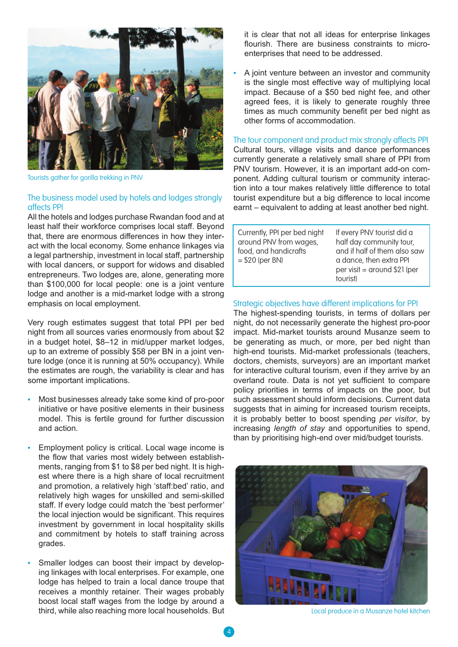

Tourists gather for gorilla trekking in PNV

# The business model used by hotels and lodges strongly affects PPI

All the hotels and lodges purchase Rwandan food and at least half their workforce comprises local staff. Beyond that, there are enormous differences in how they interact with the local economy. Some enhance linkages via a legal partnership, investment in local staff, partnership with local dancers, or support for widows and disabled entrepreneurs. Two lodges are, alone, generating more than \$100,000 for local people: one is a joint venture lodge and another is a mid-market lodge with a strong emphasis on local employment.

Very rough estimates suggest that total PPI per bed night from all sources varies enormously from about \$2 in a budget hotel, \$8–12 in mid/upper market lodges, up to an extreme of possibly \$58 per BN in a joint venture lodge (once it is running at 50% occupancy). While the estimates are rough, the variability is clear and has some important implications.

- Most businesses already take some kind of pro-poor initiative or have positive elements in their business model. This is fertile ground for further discussion and action.
- Employment policy is critical. Local wage income is the flow that varies most widely between establishments, ranging from \$1 to \$8 per bed night. It is highest where there is a high share of local recruitment and promotion, a relatively high 'staff:bed' ratio, and relatively high wages for unskilled and semi-skilled staff. If every lodge could match the 'best performer' the local injection would be significant. This requires investment by government in local hospitality skills and commitment by hotels to staff training across grades.
- Smaller lodges can boost their impact by developing linkages with local enterprises. For example, one lodge has helped to train a local dance troupe that receives a monthly retainer. Their wages probably boost local staff wages from the lodge by around a third, while also reaching more local households. But

it is clear that not all ideas for enterprise linkages flourish. There are business constraints to microenterprises that need to be addressed.

• A joint venture between an investor and community is the single most effective way of multiplying local impact. Because of a \$50 bed night fee, and other agreed fees, it is likely to generate roughly three times as much community benefit per bed night as other forms of accommodation.

The tour component and product mix strongly affects PPI Cultural tours, village visits and dance performances currently generate a relatively small share of PPI from PNV tourism. However, it is an important add-on component. Adding cultural tourism or community interaction into a tour makes relatively little difference to total tourist expenditure but a big difference to local income earnt – equivalent to adding at least another bed night.

| Currently, PPI per bed night<br>around PNV from wages,<br>food, and handicrafts<br>$= $20$ (per BN) | If every PNV tourist did a<br>half day community tour,<br>and if half of them also saw<br>a dance, then extra PPI<br>per visit = around \$21 (per<br>tourist) |
|-----------------------------------------------------------------------------------------------------|---------------------------------------------------------------------------------------------------------------------------------------------------------------|
|                                                                                                     |                                                                                                                                                               |

#### Strategic objectives have different implications for PPI

The highest-spending tourists, in terms of dollars per night, do not necessarily generate the highest pro-poor impact. Mid-market tourists around Musanze seem to be generating as much, or more, per bed night than high-end tourists. Mid-market professionals (teachers, doctors, chemists, surveyors) are an important market for interactive cultural tourism, even if they arrive by an overland route. Data is not yet sufficient to compare policy priorities in terms of impacts on the poor, but such assessment should inform decisions. Current data suggests that in aiming for increased tourism receipts, it is probably better to boost spending *per visitor*, by increasing *length of stay* and opportunities to spend, than by prioritising high-end over mid/budget tourists.



Local produce in a Musanze hotel kitchen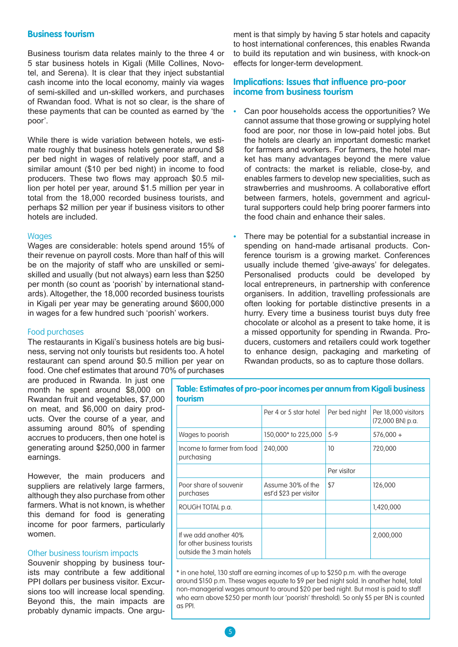#### **Business tourism**

Business tourism data relates mainly to the three 4 or 5 star business hotels in Kigali (Mille Collines, Novotel, and Serena). It is clear that they inject substantial cash income into the local economy, mainly via wages of semi-skilled and un-skilled workers, and purchases of Rwandan food. What is not so clear, is the share of these payments that can be counted as earned by 'the poor'.

While there is wide variation between hotels, we estimate roughly that business hotels generate around \$8 per bed night in wages of relatively poor staff, and a similar amount (\$10 per bed night) in income to food producers. These two flows may approach \$0.5 million per hotel per year, around \$1.5 million per year in total from the 18,000 recorded business tourists, and perhaps \$2 million per year if business visitors to other hotels are included.

#### **Wages**

Wages are considerable: hotels spend around 15% of their revenue on payroll costs. More than half of this will be on the majority of staff who are unskilled or semiskilled and usually (but not always) earn less than \$250 per month (so count as 'poorish' by international standards). Altogether, the 18,000 recorded business tourists in Kigali per year may be generating around \$600,000 in wages for a few hundred such 'poorish' workers.

#### Food purchases

The restaurants in Kigali's business hotels are big business, serving not only tourists but residents too. A hotel restaurant can spend around \$0.5 million per year on food. One chef estimates that around 70% of purchases

are produced in Rwanda. In just one month he spent around \$8,000 on Rwandan fruit and vegetables, \$7,000 on meat, and \$6,000 on dairy products. Over the course of a year, and assuming around 80% of spending accrues to producers, then one hotel is generating around \$250,000 in farmer earnings.

However, the main producers and suppliers are relatively large farmers, although they also purchase from other farmers. What is not known, is whether this demand for food is generating income for poor farmers, particularly women.

#### Other business tourism impacts

Souvenir shopping by business tourists may contribute a few additional PPI dollars per business visitor. Excursions too will increase local spending. Beyond this, the main impacts are probably dynamic impacts. One argument is that simply by having 5 star hotels and capacity to host international conferences, this enables Rwanda to build its reputation and win business, with knock-on effects for longer-term development.

# **Implications: Issues that influence pro-poor income from business tourism**

- Can poor households access the opportunities? We cannot assume that those growing or supplying hotel food are poor, nor those in low-paid hotel jobs. But the hotels are clearly an important domestic market for farmers and workers. For farmers, the hotel market has many advantages beyond the mere value of contracts: the market is reliable, close-by, and enables farmers to develop new specialities, such as strawberries and mushrooms. A collaborative effort between farmers, hotels, government and agricultural supporters could help bring poorer farmers into the food chain and enhance their sales.
- There may be potential for a substantial increase in spending on hand-made artisanal products. Conference tourism is a growing market. Conferences usually include themed 'give-aways' for delegates. Personalised products could be developed by local entrepreneurs, in partnership with conference organisers. In addition, travelling professionals are often looking for portable distinctive presents in a hurry. Every time a business tourist buys duty free chocolate or alcohol as a present to take home, it is a missed opportunity for spending in Rwanda. Producers, customers and retailers could work together to enhance design, packaging and marketing of Rwandan products, so as to capture those dollars.

| <b>tourism</b>                                                                    |                                             |               |                                         |
|-----------------------------------------------------------------------------------|---------------------------------------------|---------------|-----------------------------------------|
|                                                                                   | Per 4 or 5 star hotel                       | Per bed night | Per 18,000 visitors<br>(72,000 BN) p.a. |
| Wages to poorish                                                                  | 150,000* to 225,000                         | $5-9$         | $576,000 +$                             |
| Income to farmer from food<br>purchasing                                          | 240,000                                     | 10            | 720,000                                 |
|                                                                                   |                                             | Per visitor   |                                         |
| Poor share of souvenir<br>purchases                                               | Assume 30% of the<br>est'd \$23 per visitor | \$7           | 126,000                                 |
| ROUGH TOTAL p.a.                                                                  |                                             |               | 1,420,000                               |
|                                                                                   |                                             |               |                                         |
| If we add another 40%<br>for other business tourists<br>outside the 3 main hotels |                                             |               | 2,000,000                               |

**Table: Estimates of pro-poor incomes per annum from Kigali business** 

\* in one hotel, 130 staff are earning incomes of up to \$250 p.m. with the average around \$150 p.m. These wages equate to \$9 per bed night sold. In another hotel, total non-managerial wages amount to around \$20 per bed night. But most is paid to staff who earn above \$250 per month (our 'poorish' threshold). So only \$5 per BN is counted as PPI.